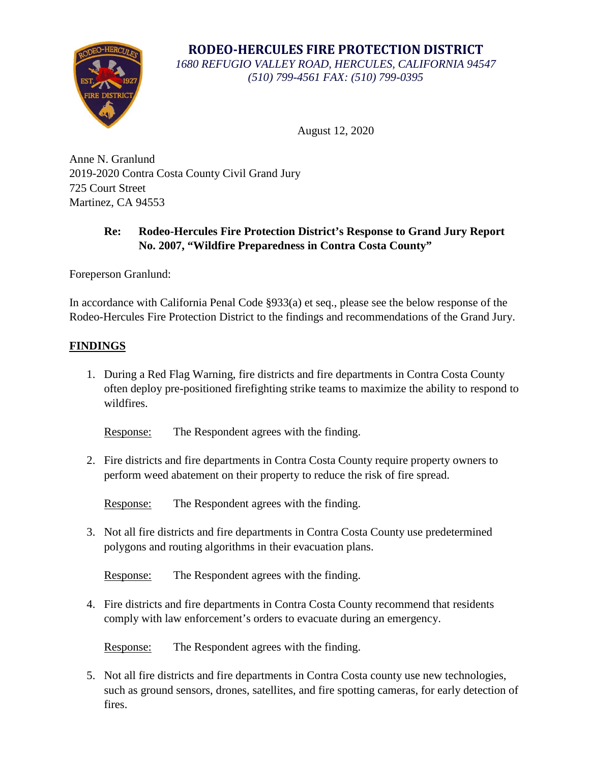

**RODEO-HERCULES FIRE PROTECTION DISTRICT** *1680 REFUGIO VALLEY ROAD, HERCULES, CALIFORNIA 94547 (510) 799-4561 FAX: (510) 799-0395*

August 12, 2020

Anne N. Granlund 2019-2020 Contra Costa County Civil Grand Jury 725 Court Street Martinez, CA 94553

## **Re: Rodeo-Hercules Fire Protection District's Response to Grand Jury Report No. 2007, "Wildfire Preparedness in Contra Costa County"**

Foreperson Granlund:

In accordance with California Penal Code §933(a) et seq., please see the below response of the Rodeo-Hercules Fire Protection District to the findings and recommendations of the Grand Jury.

## **FINDINGS**

1. During a Red Flag Warning, fire districts and fire departments in Contra Costa County often deploy pre-positioned firefighting strike teams to maximize the ability to respond to wildfires.

Response: The Respondent agrees with the finding.

2. Fire districts and fire departments in Contra Costa County require property owners to perform weed abatement on their property to reduce the risk of fire spread.

Response: The Respondent agrees with the finding.

3. Not all fire districts and fire departments in Contra Costa County use predetermined polygons and routing algorithms in their evacuation plans.

Response: The Respondent agrees with the finding.

4. Fire districts and fire departments in Contra Costa County recommend that residents comply with law enforcement's orders to evacuate during an emergency.

Response: The Respondent agrees with the finding.

5. Not all fire districts and fire departments in Contra Costa county use new technologies, such as ground sensors, drones, satellites, and fire spotting cameras, for early detection of fires.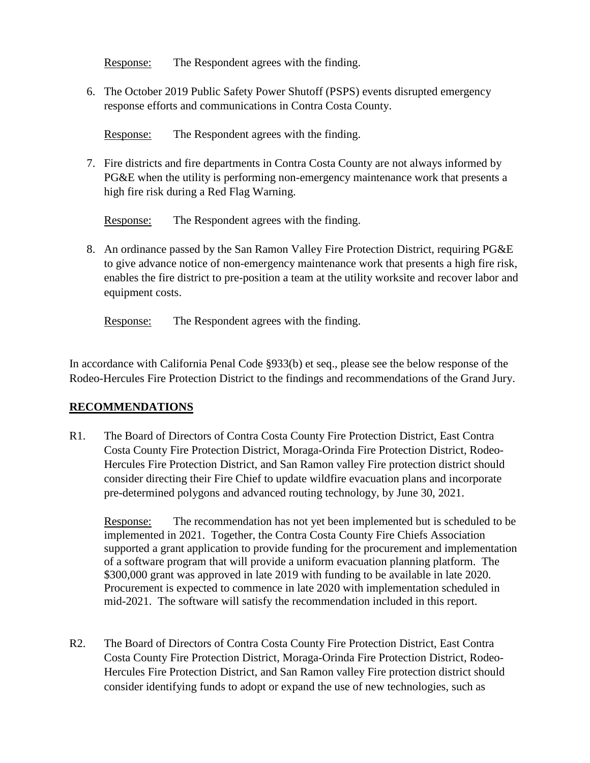Response: The Respondent agrees with the finding.

6. The October 2019 Public Safety Power Shutoff (PSPS) events disrupted emergency response efforts and communications in Contra Costa County.

Response: The Respondent agrees with the finding.

7. Fire districts and fire departments in Contra Costa County are not always informed by PG&E when the utility is performing non-emergency maintenance work that presents a high fire risk during a Red Flag Warning.

Response: The Respondent agrees with the finding.

8. An ordinance passed by the San Ramon Valley Fire Protection District, requiring PG&E to give advance notice of non-emergency maintenance work that presents a high fire risk, enables the fire district to pre-position a team at the utility worksite and recover labor and equipment costs.

Response: The Respondent agrees with the finding.

In accordance with California Penal Code §933(b) et seq., please see the below response of the Rodeo-Hercules Fire Protection District to the findings and recommendations of the Grand Jury.

## **RECOMMENDATIONS**

R1. The Board of Directors of Contra Costa County Fire Protection District, East Contra Costa County Fire Protection District, Moraga-Orinda Fire Protection District, Rodeo-Hercules Fire Protection District, and San Ramon valley Fire protection district should consider directing their Fire Chief to update wildfire evacuation plans and incorporate pre-determined polygons and advanced routing technology, by June 30, 2021.

Response: The recommendation has not yet been implemented but is scheduled to be implemented in 2021. Together, the Contra Costa County Fire Chiefs Association supported a grant application to provide funding for the procurement and implementation of a software program that will provide a uniform evacuation planning platform. The \$300,000 grant was approved in late 2019 with funding to be available in late 2020. Procurement is expected to commence in late 2020 with implementation scheduled in mid-2021. The software will satisfy the recommendation included in this report.

R2. The Board of Directors of Contra Costa County Fire Protection District, East Contra Costa County Fire Protection District, Moraga-Orinda Fire Protection District, Rodeo-Hercules Fire Protection District, and San Ramon valley Fire protection district should consider identifying funds to adopt or expand the use of new technologies, such as